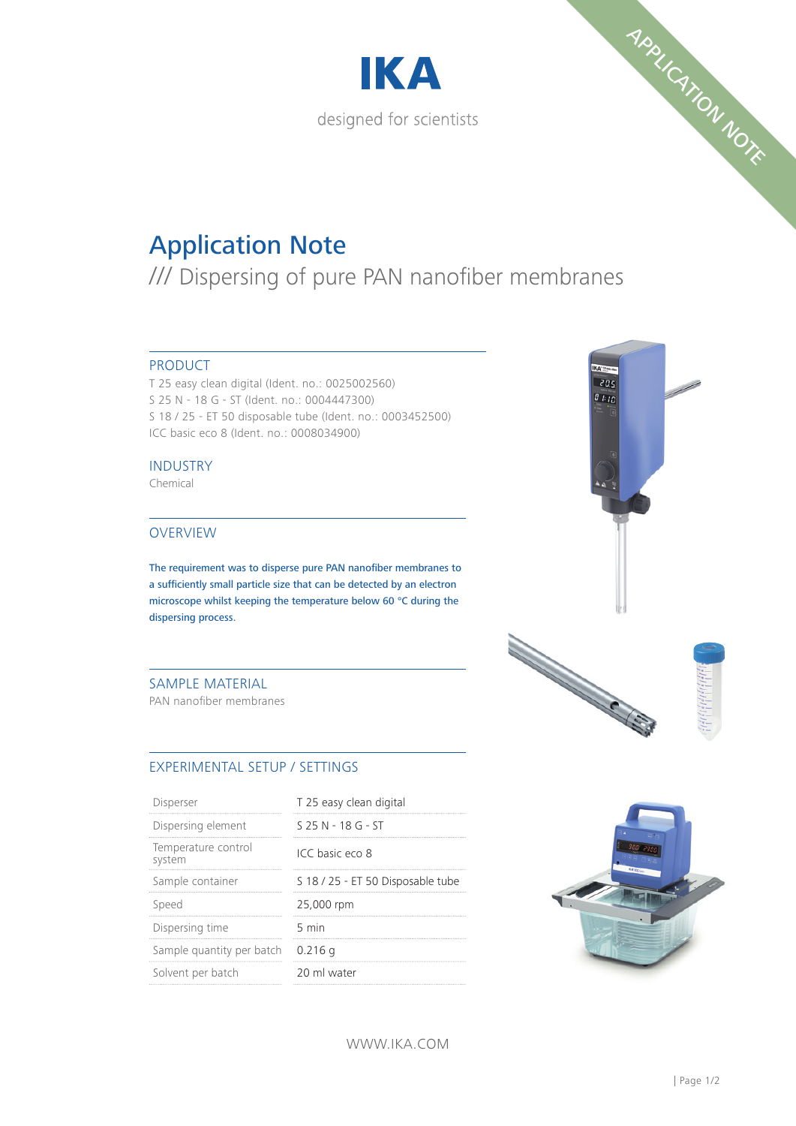



# Application Note

/// Dispersing of pure PAN nanofiber membranes

## PRODUCT

T 25 easy clean digital (Ident. no.: 0025002560) S 25 N - 18 G - ST (Ident. no.: 0004447300) S 18 / 25 - ET 50 disposable tube (Ident. no.: 0003452500) ICC basic eco 8 (Ident. no.: 0008034900)

## INDUSTRY

Chemical

## **OVERVIEW**

The requirement was to disperse pure PAN nanofiber membranes to a sufficiently small particle size that can be detected by an electron microscope whilst keeping the temperature below 60 °C during the dispersing process.

## SAMPLE MATERIAL

PAN nanofiber membranes

# EXPERIMENTAL SETUP / SETTINGS

| Disperser                     | T 25 easy clean digital           |
|-------------------------------|-----------------------------------|
| Dispersing element            | $S$ 25 N - 18 G - ST              |
| Temperature control<br>system | ICC basic eco 8                   |
| Sample container              | S 18 / 25 - ET 50 Disposable tube |
| Speed                         | 25,000 rpm                        |
| Dispersing time               | 5 min                             |
| Sample quantity per batch     | $0.216$ a                         |
| Solvent per batch             | 20 ml water                       |



 $205$ 



WWW.IKA.COM